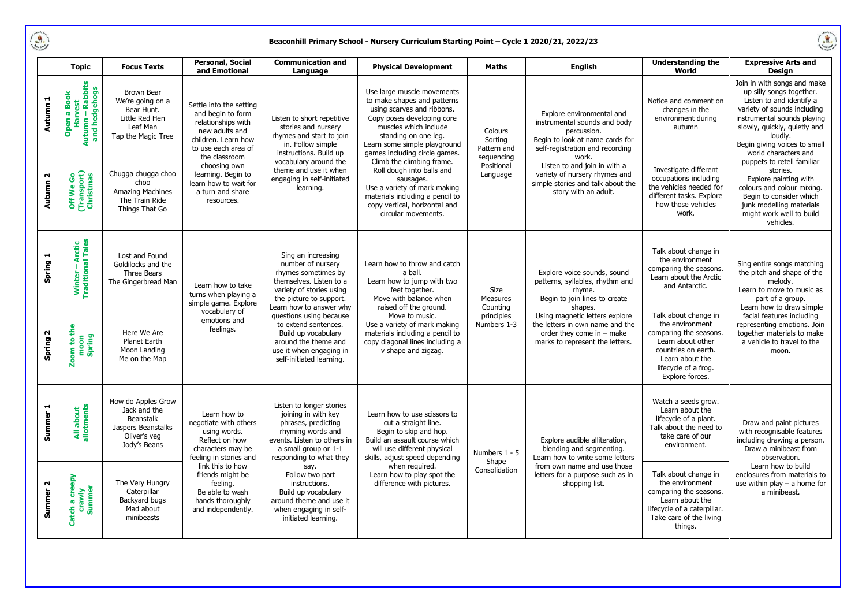$\begin{picture}(220,20) \put(0,0){\line(1,0){155}} \put(0,0){\line(1,0){155}} \put(0,0){\line(1,0){155}} \put(0,0){\line(1,0){155}} \put(0,0){\line(1,0){155}} \put(0,0){\line(1,0){155}} \put(0,0){\line(1,0){155}} \put(0,0){\line(1,0){155}} \put(0,0){\line(1,0){155}} \put(0,0){\line(1,0){155}} \put(0,0){\line(1,0){155}} \put(0,0){\line($ 

## **Beaconhill Primary School - Nursery Curriculum Starting Point – Cycle 1 2020/21, 2022/23**

| í  |
|----|
|    |
| ١X |
|    |

|                                 | <b>Topic</b>                                                                  | <b>Focus Texts</b>                                                                                      | <b>Personal, Social</b><br>and Emotional                                                                                                                                                                                                             | <b>Communication and</b><br>Language                                                                                                                                                                                                                                                                                                 | <b>Physical Development</b>                                                                                                                                                                                                                                                                                                                                                                                                               | <b>Maths</b>                                                              | <b>English</b>                                                                                                                                                                                                                                                                        | <b>Understanding the</b><br>World                                                                                                                                           | <b>Expressive Arts and</b><br>Design                                                                                                                                                                                                                                                                                                                                                                                                                  |
|---------------------------------|-------------------------------------------------------------------------------|---------------------------------------------------------------------------------------------------------|------------------------------------------------------------------------------------------------------------------------------------------------------------------------------------------------------------------------------------------------------|--------------------------------------------------------------------------------------------------------------------------------------------------------------------------------------------------------------------------------------------------------------------------------------------------------------------------------------|-------------------------------------------------------------------------------------------------------------------------------------------------------------------------------------------------------------------------------------------------------------------------------------------------------------------------------------------------------------------------------------------------------------------------------------------|---------------------------------------------------------------------------|---------------------------------------------------------------------------------------------------------------------------------------------------------------------------------------------------------------------------------------------------------------------------------------|-----------------------------------------------------------------------------------------------------------------------------------------------------------------------------|-------------------------------------------------------------------------------------------------------------------------------------------------------------------------------------------------------------------------------------------------------------------------------------------------------------------------------------------------------------------------------------------------------------------------------------------------------|
| Autumn 1                        | Harvest<br>Autumn – Rabbits<br>and hedgehogs<br><b>Open a Book</b><br>Harvest | <b>Brown Bear</b><br>We're going on a<br>Bear Hunt.<br>Little Red Hen<br>Leaf Man<br>Tap the Magic Tree | Settle into the setting<br>and begin to form<br>relationships with<br>new adults and<br>children. Learn how<br>to use each area of<br>the classroom<br>choosing own<br>learning. Begin to<br>learn how to wait for<br>a turn and share<br>resources. | Listen to short repetitive<br>stories and nursery<br>rhymes and start to join<br>in. Follow simple<br>instructions. Build up<br>vocabulary around the<br>theme and use it when<br>engaging in self-initiated<br>learning.                                                                                                            | Use large muscle movements<br>to make shapes and patterns<br>using scarves and ribbons.<br>Copy poses developing core<br>muscles which include<br>standing on one leg.<br>Learn some simple playground<br>games including circle games.<br>Climb the climbing frame.<br>Roll dough into balls and<br>sausages.<br>Use a variety of mark making<br>materials including a pencil to<br>copy vertical, horizontal and<br>circular movements. | Colours<br>Sorting<br>Pattern and<br>sequencing<br>Positional<br>Language | Explore environmental and<br>instrumental sounds and body<br>percussion.<br>Begin to look at name cards for<br>self-registration and recording<br>work.<br>Listen to and join in with a<br>variety of nursery rhymes and<br>simple stories and talk about the<br>story with an adult. | Notice and comment on<br>changes in the<br>environment during<br>autumn                                                                                                     | Join in with songs and make<br>up silly songs together.<br>Listen to and identify a<br>variety of sounds including<br>instrumental sounds playing<br>slowly, quickly, quietly and<br>loudly.<br>Begin giving voices to small<br>world characters and<br>puppets to retell familiar<br>stories.<br>Explore painting with<br>colours and colour mixing.<br>Begin to consider which<br>junk modelling materials<br>might work well to build<br>vehicles. |
| $\sim$<br><b>Autumn</b>         | Off We Go<br>(Transport)<br>Christmas                                         | Chugga chugga choo<br>choo<br><b>Amazing Machines</b><br>The Train Ride<br>Things That Go               |                                                                                                                                                                                                                                                      |                                                                                                                                                                                                                                                                                                                                      |                                                                                                                                                                                                                                                                                                                                                                                                                                           |                                                                           |                                                                                                                                                                                                                                                                                       | Investigate different<br>occupations including<br>the vehicles needed for<br>different tasks. Explore<br>how those vehicles<br>work.                                        |                                                                                                                                                                                                                                                                                                                                                                                                                                                       |
| Spring 1                        | Winter – Arctic<br>Traditional Tales                                          | Lost and Found<br>Goldilocks and the<br>Three Bears<br>The Gingerbread Man                              | Learn how to take<br>turns when playing a<br>simple game. Explore<br>vocabulary of<br>emotions and<br>feelings.                                                                                                                                      | Sing an increasing<br>number of nursery<br>rhymes sometimes by<br>themselves. Listen to a<br>variety of stories using<br>the picture to support.<br>Learn how to answer why<br>questions using because<br>to extend sentences.<br>Build up vocabulary<br>around the theme and<br>use it when engaging in<br>self-initiated learning. | Learn how to throw and catch<br>a ball.<br>Learn how to jump with two<br>feet together.<br>Move with balance when<br>raised off the ground.<br>Move to music.<br>Use a variety of mark making<br>materials including a pencil to<br>copy diagonal lines including a<br>v shape and zigzag.                                                                                                                                                | Size<br>Measures<br>Counting<br>principles<br>Numbers 1-3                 | Explore voice sounds, sound<br>patterns, syllables, rhythm and<br>rhyme.<br>Begin to join lines to create<br>shapes.<br>Using magnetic letters explore<br>the letters in own name and the<br>order they come in $-$ make<br>marks to represent the letters.                           | Talk about change in<br>the environment<br>comparing the seasons.<br>Learn about the Arctic<br>and Antarctic.                                                               | Sing entire songs matching<br>the pitch and shape of the<br>melody.<br>Learn to move to music as<br>part of a group.<br>Learn how to draw simple<br>facial features including<br>representing emotions. Join<br>together materials to make<br>a vehicle to travel to the<br>moon.                                                                                                                                                                     |
| Spring 2                        | $\frac{e}{\hbar}$<br>Zoom to t <del>l</del><br>moon<br>Spring                 | Here We Are<br>Planet Earth<br>Moon Landing<br>Me on the Map                                            |                                                                                                                                                                                                                                                      |                                                                                                                                                                                                                                                                                                                                      |                                                                                                                                                                                                                                                                                                                                                                                                                                           |                                                                           |                                                                                                                                                                                                                                                                                       | Talk about change in<br>the environment<br>comparing the seasons.<br>Learn about other<br>countries on earth.<br>Learn about the<br>lifecycle of a frog.<br>Explore forces. |                                                                                                                                                                                                                                                                                                                                                                                                                                                       |
| $\blacksquare$<br><b>Summer</b> | All about<br>allotments                                                       | How do Apples Grow<br>Jack and the<br>Beanstalk<br>Jaspers Beanstalks<br>Oliver's veg<br>Jody's Beans   | Learn how to<br>negotiate with others<br>using words.<br>Reflect on how<br>characters may be<br>feeling in stories and<br>link this to how<br>friends might be<br>feeling.<br>Be able to wash<br>hands thoroughly<br>and independently.              | Listen to longer stories<br>joining in with key<br>phrases, predicting<br>rhyming words and<br>events. Listen to others in<br>a small group or 1-1<br>responding to what they                                                                                                                                                        | Learn how to use scissors to<br>cut a straight line.<br>Begin to skip and hop.<br>Build an assault course which<br>will use different physical<br>skills, adjust speed depending<br>when required.<br>Learn how to play spot the<br>difference with pictures.                                                                                                                                                                             | Numbers 1 - 5<br>Shape<br>Consolidation                                   | Explore audible alliteration,<br>blending and segmenting.<br>Learn how to write some letters<br>from own name and use those<br>letters for a purpose such as in<br>shopping list.                                                                                                     | Watch a seeds grow.<br>Learn about the<br>lifecycle of a plant.<br>Talk about the need to<br>take care of our<br>environment.                                               | Draw and paint pictures<br>with recognisable features<br>including drawing a person.<br>Draw a minibeast from<br>observation.<br>Learn how to build<br>enclosures from materials to<br>use within play $-$ a home for<br>a minibeast.                                                                                                                                                                                                                 |
| Summer <sub>2</sub>             | creepy<br>Catch a cree <sub>l</sub><br>crawly<br>Summer                       | The Very Hungry<br>Caterpillar<br>Backyard bugs<br>Mad about<br>minibeasts                              |                                                                                                                                                                                                                                                      | say.<br>Follow two part<br>instructions.<br>Build up vocabulary<br>around theme and use it<br>when engaging in self-<br>initiated learning.                                                                                                                                                                                          |                                                                                                                                                                                                                                                                                                                                                                                                                                           |                                                                           |                                                                                                                                                                                                                                                                                       | Talk about change in<br>the environment<br>comparing the seasons.<br>Learn about the<br>lifecycle of a caterpillar.<br>Take care of the living<br>things.                   |                                                                                                                                                                                                                                                                                                                                                                                                                                                       |